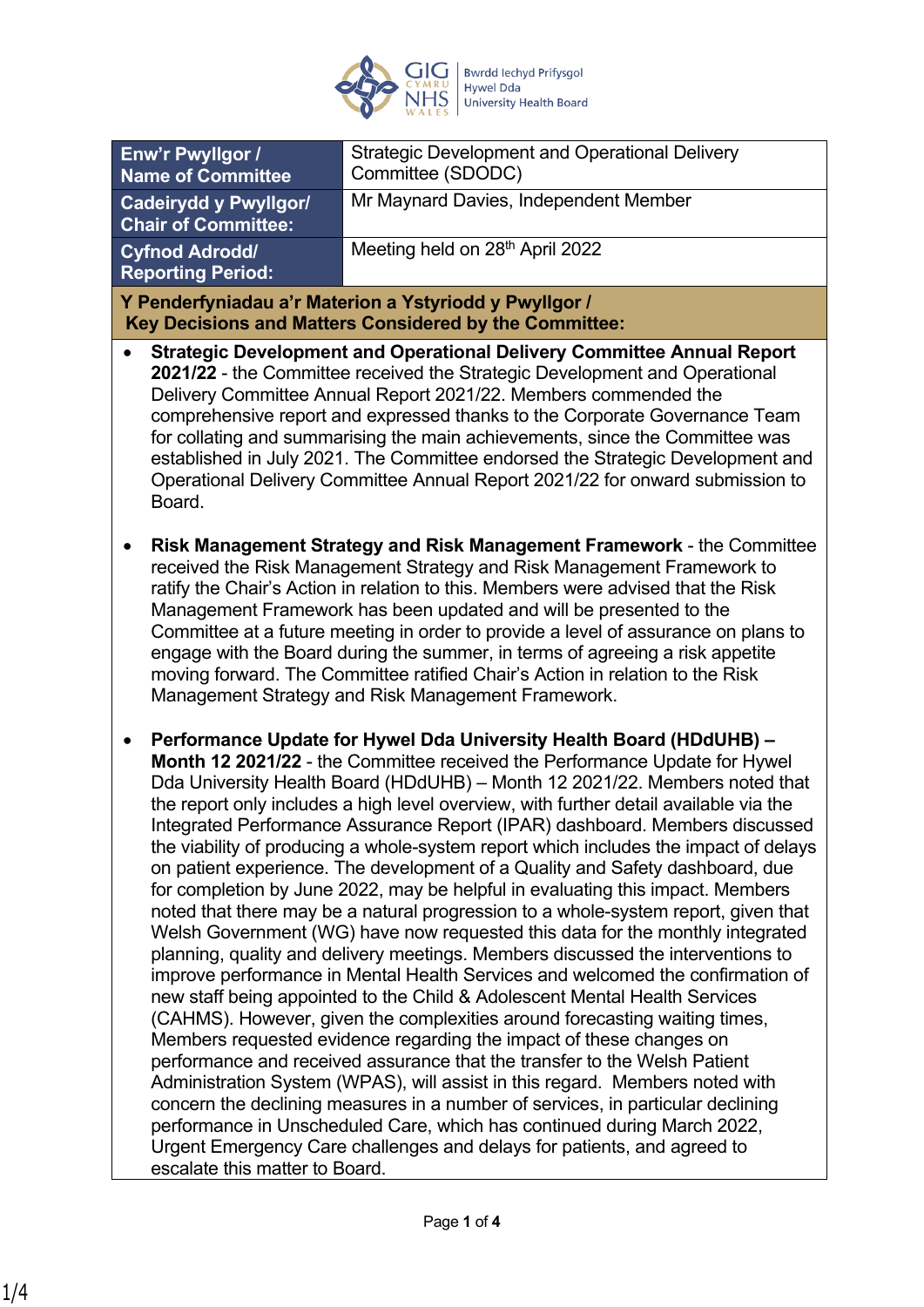

| Enw'r Pwyllgor /<br><b>Name of Committee</b>                                                                                                                                                                                                                                                                                                                                                                                                                                                                                                                                                                                                                                                                                                                                                                                                                                                                                                                                                                                                                                                                                                                                                                                                                                                                                                                                                                                                                                                                                                                                                                                                                                               | <b>Strategic Development and Operational Delivery</b><br>Committee (SDODC) |
|--------------------------------------------------------------------------------------------------------------------------------------------------------------------------------------------------------------------------------------------------------------------------------------------------------------------------------------------------------------------------------------------------------------------------------------------------------------------------------------------------------------------------------------------------------------------------------------------------------------------------------------------------------------------------------------------------------------------------------------------------------------------------------------------------------------------------------------------------------------------------------------------------------------------------------------------------------------------------------------------------------------------------------------------------------------------------------------------------------------------------------------------------------------------------------------------------------------------------------------------------------------------------------------------------------------------------------------------------------------------------------------------------------------------------------------------------------------------------------------------------------------------------------------------------------------------------------------------------------------------------------------------------------------------------------------------|----------------------------------------------------------------------------|
| <b>Cadeirydd y Pwyllgor/</b><br><b>Chair of Committee:</b>                                                                                                                                                                                                                                                                                                                                                                                                                                                                                                                                                                                                                                                                                                                                                                                                                                                                                                                                                                                                                                                                                                                                                                                                                                                                                                                                                                                                                                                                                                                                                                                                                                 | Mr Maynard Davies, Independent Member                                      |
| <b>Cyfnod Adrodd/</b><br><b>Reporting Period:</b>                                                                                                                                                                                                                                                                                                                                                                                                                                                                                                                                                                                                                                                                                                                                                                                                                                                                                                                                                                                                                                                                                                                                                                                                                                                                                                                                                                                                                                                                                                                                                                                                                                          | Meeting held on 28th April 2022                                            |
| Y Penderfyniadau a'r Materion a Ystyriodd y Pwyllgor /<br>Key Decisions and Matters Considered by the Committee:                                                                                                                                                                                                                                                                                                                                                                                                                                                                                                                                                                                                                                                                                                                                                                                                                                                                                                                                                                                                                                                                                                                                                                                                                                                                                                                                                                                                                                                                                                                                                                           |                                                                            |
| <b>Strategic Development and Operational Delivery Committee Annual Report</b><br>2021/22 - the Committee received the Strategic Development and Operational<br>Delivery Committee Annual Report 2021/22. Members commended the<br>comprehensive report and expressed thanks to the Corporate Governance Team<br>for collating and summarising the main achievements, since the Committee was<br>established in July 2021. The Committee endorsed the Strategic Development and<br>Operational Delivery Committee Annual Report 2021/22 for onward submission to<br>Board.                                                                                                                                                                                                                                                                                                                                                                                                                                                                                                                                                                                                                                                                                                                                                                                                                                                                                                                                                                                                                                                                                                                  |                                                                            |
| Risk Management Strategy and Risk Management Framework - the Committee<br>received the Risk Management Strategy and Risk Management Framework to<br>ratify the Chair's Action in relation to this. Members were advised that the Risk<br>Management Framework has been updated and will be presented to the<br>Committee at a future meeting in order to provide a level of assurance on plans to<br>engage with the Board during the summer, in terms of agreeing a risk appetite<br>moving forward. The Committee ratified Chair's Action in relation to the Risk<br>Management Strategy and Risk Management Framework.                                                                                                                                                                                                                                                                                                                                                                                                                                                                                                                                                                                                                                                                                                                                                                                                                                                                                                                                                                                                                                                                  |                                                                            |
| Performance Update for Hywel Dda University Health Board (HDdUHB) -<br>Month 12 2021/22 - the Committee received the Performance Update for Hywel<br>Dda University Health Board (HDdUHB) - Month 12 2021/22. Members noted that<br>the report only includes a high level overview, with further detail available via the<br>Integrated Performance Assurance Report (IPAR) dashboard. Members discussed<br>the viability of producing a whole-system report which includes the impact of delays<br>on patient experience. The development of a Quality and Safety dashboard, due<br>for completion by June 2022, may be helpful in evaluating this impact. Members<br>noted that there may be a natural progression to a whole-system report, given that<br>Welsh Government (WG) have now requested this data for the monthly integrated<br>planning, quality and delivery meetings. Members discussed the interventions to<br>improve performance in Mental Health Services and welcomed the confirmation of<br>new staff being appointed to the Child & Adolescent Mental Health Services<br>(CAHMS). However, given the complexities around forecasting waiting times,<br>Members requested evidence regarding the impact of these changes on<br>performance and received assurance that the transfer to the Welsh Patient<br>Administration System (WPAS), will assist in this regard. Members noted with<br>concern the declining measures in a number of services, in particular declining<br>performance in Unscheduled Care, which has continued during March 2022,<br>Urgent Emergency Care challenges and delays for patients, and agreed to<br>escalate this matter to Board. |                                                                            |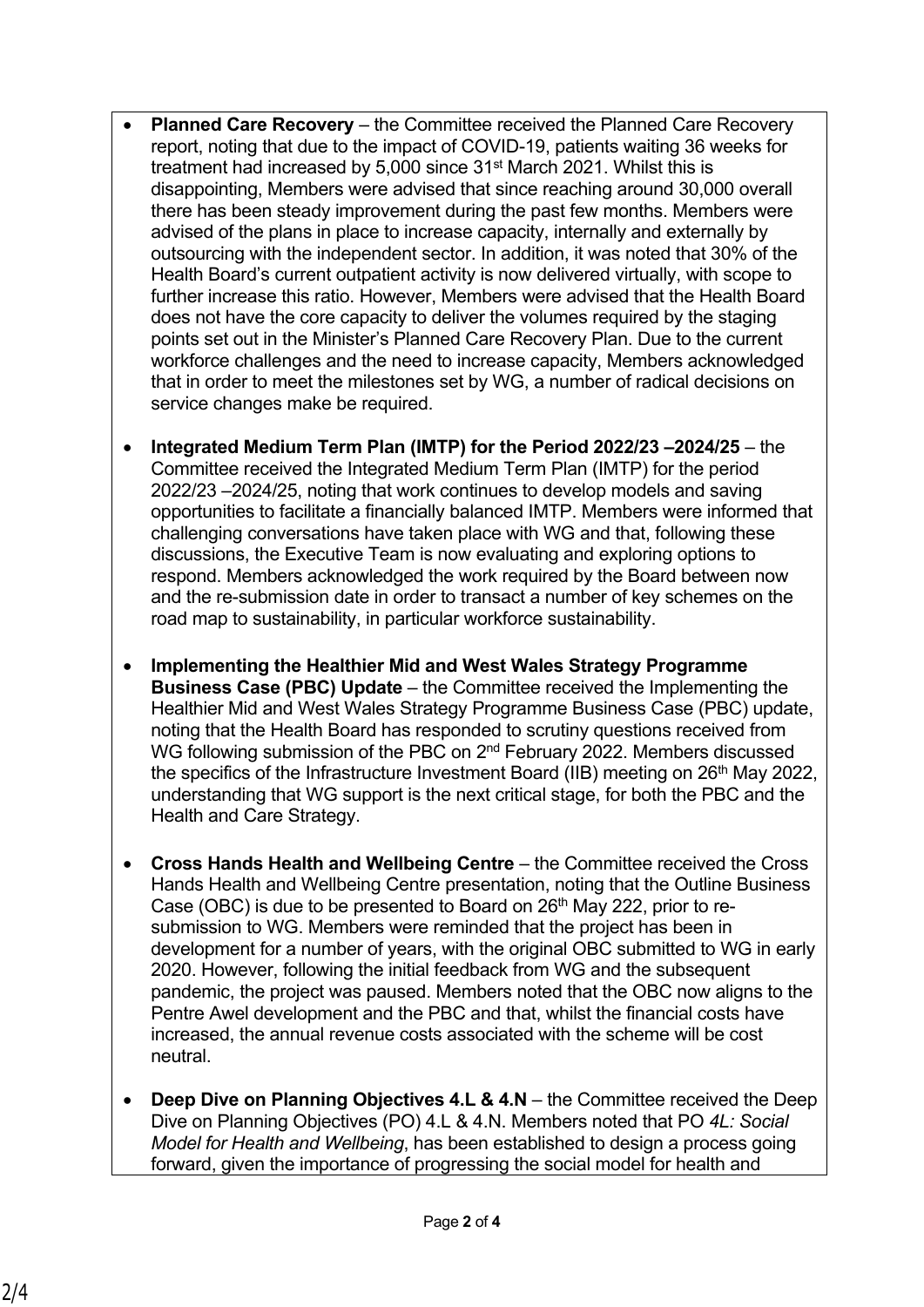- **Planned Care Recovery** the Committee received the Planned Care Recovery report, noting that due to the impact of COVID-19, patients waiting 36 weeks for treatment had increased by 5,000 since 31<sup>st</sup> March 2021. Whilst this is disappointing, Members were advised that since reaching around 30,000 overall there has been steady improvement during the past few months. Members were advised of the plans in place to increase capacity, internally and externally by outsourcing with the independent sector. In addition, it was noted that 30% of the Health Board's current outpatient activity is now delivered virtually, with scope to further increase this ratio. However, Members were advised that the Health Board does not have the core capacity to deliver the volumes required by the staging points set out in the Minister's Planned Care Recovery Plan. Due to the current workforce challenges and the need to increase capacity, Members acknowledged that in order to meet the milestones set by WG, a number of radical decisions on service changes make be required.
- **Integrated Medium Term Plan (IMTP) for the Period 2022/23 –2024/25**  the Committee received the Integrated Medium Term Plan (IMTP) for the period 2022/23 –2024/25, noting that work continues to develop models and saving opportunities to facilitate a financially balanced IMTP. Members were informed that challenging conversations have taken place with WG and that, following these discussions, the Executive Team is now evaluating and exploring options to respond. Members acknowledged the work required by the Board between now and the re-submission date in order to transact a number of key schemes on the road map to sustainability, in particular workforce sustainability.
- **Implementing the Healthier Mid and West Wales Strategy Programme Business Case (PBC) Update** – the Committee received the Implementing the Healthier Mid and West Wales Strategy Programme Business Case (PBC) update, noting that the Health Board has responded to scrutiny questions received from WG following submission of the PBC on 2<sup>nd</sup> February 2022. Members discussed the specifics of the Infrastructure Investment Board (IIB) meeting on  $26<sup>th</sup>$  May 2022, understanding that WG support is the next critical stage, for both the PBC and the Health and Care Strategy.
- **Cross Hands Health and Wellbeing Centre**  the Committee received the Cross Hands Health and Wellbeing Centre presentation, noting that the Outline Business Case (OBC) is due to be presented to Board on 26<sup>th</sup> May 222, prior to resubmission to WG. Members were reminded that the project has been in development for a number of years, with the original OBC submitted to WG in early 2020. However, following the initial feedback from WG and the subsequent pandemic, the project was paused. Members noted that the OBC now aligns to the Pentre Awel development and the PBC and that, whilst the financial costs have increased, the annual revenue costs associated with the scheme will be cost neutral.
- **Deep Dive on Planning Objectives 4.L & 4.N**  the Committee received the Deep Dive on Planning Objectives (PO) 4.L & 4.N. Members noted that PO *4L: Social Model for Health and Wellbeing*, has been established to design a process going forward, given the importance of progressing the social model for health and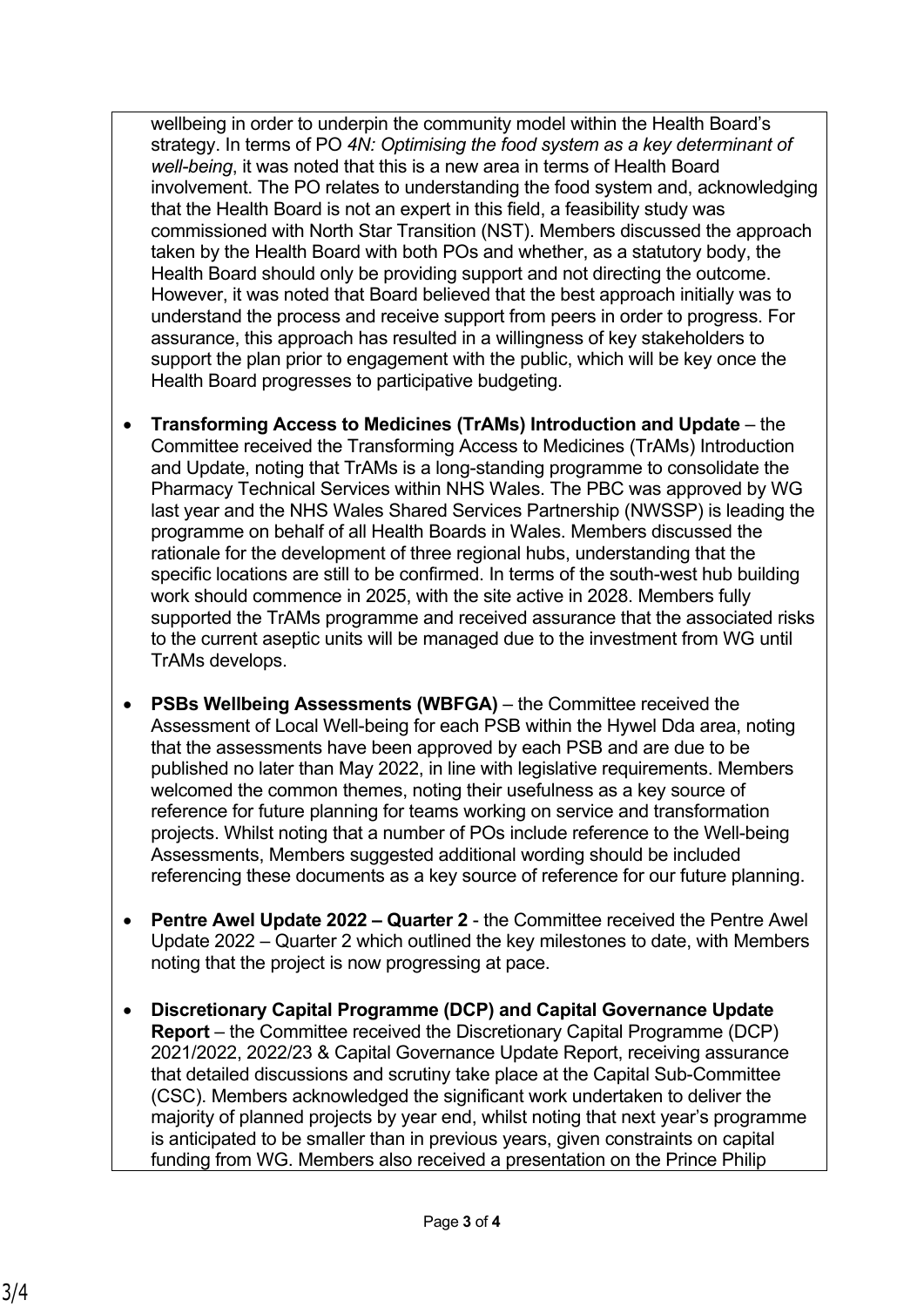wellbeing in order to underpin the community model within the Health Board's strategy. In terms of PO *4N: Optimising the food system as a key determinant of well-being*, it was noted that this is a new area in terms of Health Board involvement. The PO relates to understanding the food system and, acknowledging that the Health Board is not an expert in this field, a feasibility study was commissioned with North Star Transition (NST). Members discussed the approach taken by the Health Board with both POs and whether, as a statutory body, the Health Board should only be providing support and not directing the outcome. However, it was noted that Board believed that the best approach initially was to understand the process and receive support from peers in order to progress. For assurance, this approach has resulted in a willingness of key stakeholders to support the plan prior to engagement with the public, which will be key once the Health Board progresses to participative budgeting.

- **Transforming Access to Medicines (TrAMs) Introduction and Update** the Committee received the Transforming Access to Medicines (TrAMs) Introduction and Update, noting that TrAMs is a long-standing programme to consolidate the Pharmacy Technical Services within NHS Wales. The PBC was approved by WG last year and the NHS Wales Shared Services Partnership (NWSSP) is leading the programme on behalf of all Health Boards in Wales. Members discussed the rationale for the development of three regional hubs, understanding that the specific locations are still to be confirmed. In terms of the south-west hub building work should commence in 2025, with the site active in 2028. Members fully supported the TrAMs programme and received assurance that the associated risks to the current aseptic units will be managed due to the investment from WG until TrAMs develops.
- **PSBs Wellbeing Assessments (WBFGA)** the Committee received the Assessment of Local Well-being for each PSB within the Hywel Dda area, noting that the assessments have been approved by each PSB and are due to be published no later than May 2022, in line with legislative requirements. Members welcomed the common themes, noting their usefulness as a key source of reference for future planning for teams working on service and transformation projects. Whilst noting that a number of POs include reference to the Well-being Assessments, Members suggested additional wording should be included referencing these documents as a key source of reference for our future planning.
- **Pentre Awel Update 2022 Quarter 2**  the Committee received the Pentre Awel Update 2022 – Quarter 2 which outlined the key milestones to date, with Members noting that the project is now progressing at pace.
- **Discretionary Capital Programme (DCP) and Capital Governance Update Report** – the Committee received the Discretionary Capital Programme (DCP) 2021/2022, 2022/23 & Capital Governance Update Report, receiving assurance that detailed discussions and scrutiny take place at the Capital Sub-Committee (CSC). Members acknowledged the significant work undertaken to deliver the majority of planned projects by year end, whilst noting that next year's programme is anticipated to be smaller than in previous years, given constraints on capital funding from WG. Members also received a presentation on the Prince Philip